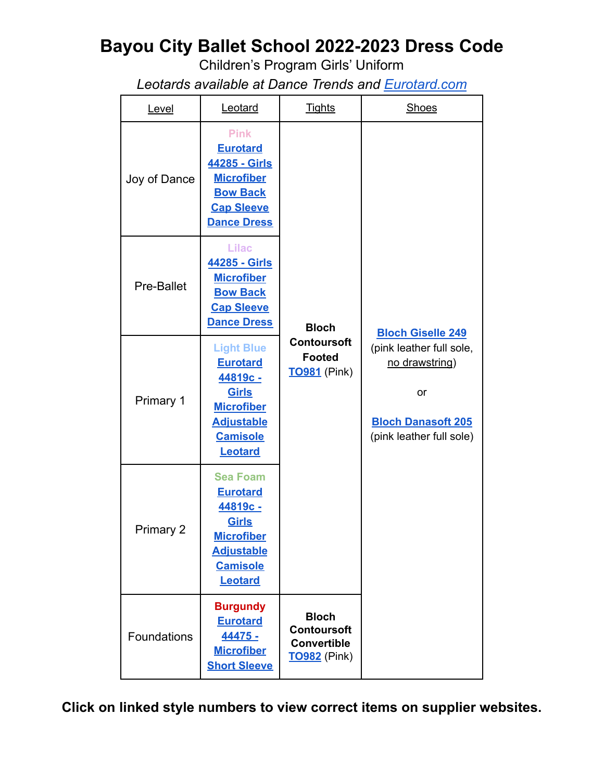## **Bayou City Ballet School 2022-2023 Dress Code**

Children's Program Girls' Uniform

*Leotards available at Dance Trends and [Eurotard.com](https://eurotard.com/v4/classes.aspx?studio=S-Ba3646-1)*

| Level        | Leotard                                                                                                                                | <b>Tights</b>                                                                   | <b>Shoes</b>                                                                                              |
|--------------|----------------------------------------------------------------------------------------------------------------------------------------|---------------------------------------------------------------------------------|-----------------------------------------------------------------------------------------------------------|
| Joy of Dance | <b>Pink</b><br><b>Eurotard</b><br>44285 - Girls<br><b>Microfiber</b><br><b>Bow Back</b><br><b>Cap Sleeve</b><br><b>Dance Dress</b>     |                                                                                 |                                                                                                           |
| Pre-Ballet   | <b>Lilac</b><br>44285 - Girls<br><b>Microfiber</b><br><b>Bow Back</b><br><b>Cap Sleeve</b><br><b>Dance Dress</b>                       | <b>Bloch</b>                                                                    | <b>Bloch Giselle 249</b>                                                                                  |
| Primary 1    | <b>Light Blue</b><br><b>Eurotard</b><br>44819с -<br>Girls<br><b>Microfiber</b><br><b>Adjustable</b><br><b>Camisole</b><br>Leotard      | <b>Contoursoft</b><br><b>Footed</b><br><b>TO981</b> (Pink)                      | (pink leather full sole,<br>no drawstring)<br>or<br><b>Bloch Danasoft 205</b><br>(pink leather full sole) |
| Primary 2    | <b>Sea Foam</b><br><b>Eurotard</b><br>44819с -<br>Girls<br><b>Microfiber</b><br><b>Adjustable</b><br><b>Camisole</b><br><b>Leotard</b> |                                                                                 |                                                                                                           |
| Foundations  | <b>Burgundy</b><br><b>Eurotard</b><br>44475 -<br><b>Microfiber</b><br><b>Short Sleeve</b>                                              | <b>Bloch</b><br><b>Contoursoft</b><br><b>Convertible</b><br><b>TO982</b> (Pink) |                                                                                                           |

**Click on linked style numbers to view correct items on supplier websites.**